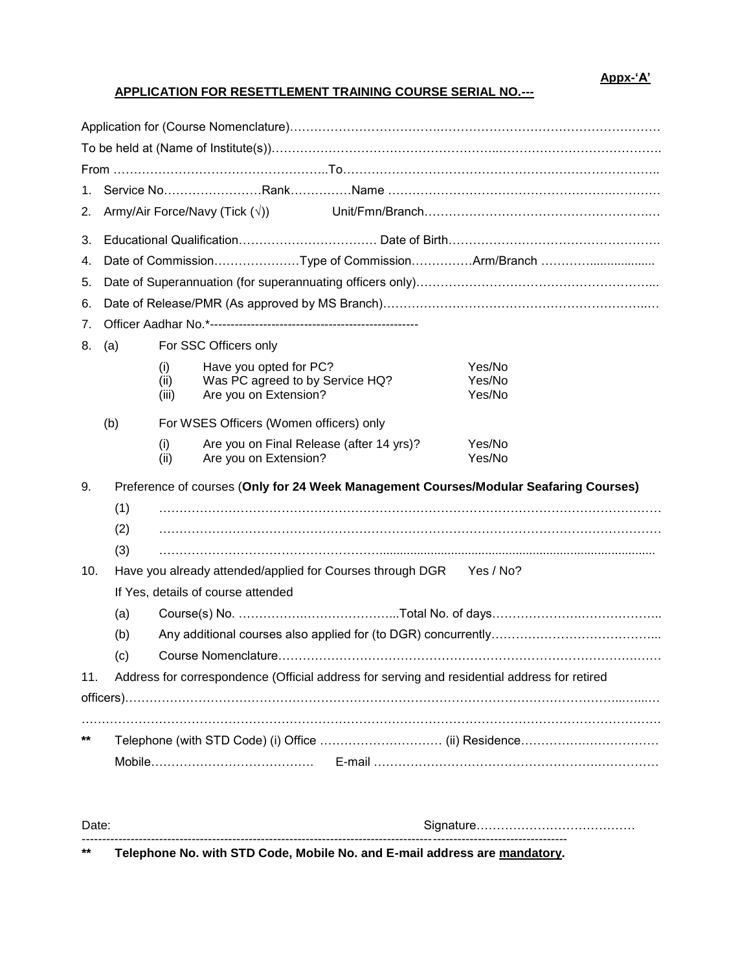## **APPLICATION FOR RESETTLEMENT TRAINING COURSE SERIAL NO.---**

| 1.<br>2. | Army/Air Force/Navy (Tick $(\sqrt{x})$ )                                                     |                                         |                                                                   |                  |  |
|----------|----------------------------------------------------------------------------------------------|-----------------------------------------|-------------------------------------------------------------------|------------------|--|
| 3.       |                                                                                              |                                         |                                                                   |                  |  |
| 4.       | Date of CommissionType of CommissionArm/Branch                                               |                                         |                                                                   |                  |  |
| 5.       |                                                                                              |                                         |                                                                   |                  |  |
| 6.       |                                                                                              |                                         |                                                                   |                  |  |
| 7.       |                                                                                              |                                         |                                                                   |                  |  |
| 8.       | (a)<br>For SSC Officers only                                                                 |                                         |                                                                   |                  |  |
|          |                                                                                              | (i)                                     | Have you opted for PC?                                            | Yes/No           |  |
|          |                                                                                              | (ii)<br>(iii)                           | Was PC agreed to by Service HQ?<br>Are you on Extension?          | Yes/No<br>Yes/No |  |
|          |                                                                                              |                                         |                                                                   |                  |  |
| (b)      |                                                                                              | For WSES Officers (Women officers) only |                                                                   |                  |  |
|          |                                                                                              | (i)<br>(ii)                             | Are you on Final Release (after 14 yrs)?<br>Are you on Extension? | Yes/No<br>Yes/No |  |
| 9.       | Preference of courses (Only for 24 Week Management Courses/Modular Seafaring Courses)        |                                         |                                                                   |                  |  |
|          | (1)                                                                                          |                                         |                                                                   |                  |  |
|          | (2)                                                                                          |                                         |                                                                   |                  |  |
|          | (3)                                                                                          |                                         |                                                                   |                  |  |
| 10.      | Have you already attended/applied for Courses through DGR Yes / No?                          |                                         |                                                                   |                  |  |
|          | If Yes, details of course attended                                                           |                                         |                                                                   |                  |  |
|          | (a)                                                                                          |                                         |                                                                   |                  |  |
|          | (b)                                                                                          |                                         |                                                                   |                  |  |
| (c)      |                                                                                              |                                         |                                                                   |                  |  |
| 11.      | Address for correspondence (Official address for serving and residential address for retired |                                         |                                                                   |                  |  |
|          |                                                                                              |                                         |                                                                   |                  |  |
|          |                                                                                              |                                         |                                                                   |                  |  |
| $***$    |                                                                                              |                                         |                                                                   |                  |  |
|          |                                                                                              |                                         |                                                                   |                  |  |
|          |                                                                                              |                                         |                                                                   |                  |  |

| - | <b>INCORPORATION CONTINUES.</b> |
|---|---------------------------------|
|   |                                 |

**\*\* Telephone No. with STD Code, Mobile No. and E-mail address are mandatory.**